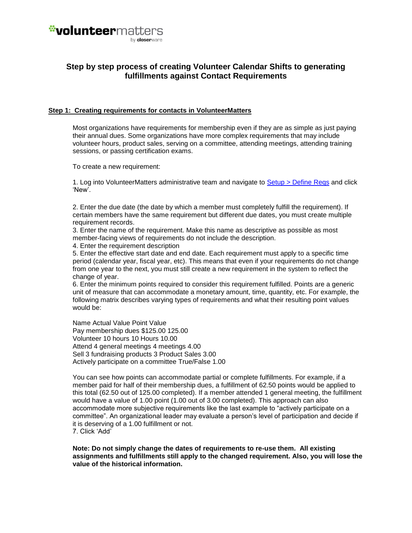

## **Step by step process of creating Volunteer Calendar Shifts to generating fulfillments against Contact Requirements**

#### **Step 1: Creating requirements for contacts in VolunteerMatters**

Most organizations have requirements for membership even if they are as simple as just paying their annual dues. Some organizations have more complex requirements that may include volunteer hours, product sales, serving on a committee, attending meetings, attending training sessions, or passing certification exams.

To create a new requirement:

1. Log into VolunteerMatters administrative team and navigate to [Setup > Define Reqs](https://www.closerware.com/vm/member/RequirementList.do) and click 'New'.

2. Enter the due date (the date by which a member must completely fulfill the requirement). If certain members have the same requirement but different due dates, you must create multiple requirement records.

3. Enter the name of the requirement. Make this name as descriptive as possible as most member-facing views of requirements do not include the description.

4. Enter the requirement description

5. Enter the effective start date and end date. Each requirement must apply to a specific time period (calendar year, fiscal year, etc). This means that even if your requirements do not change from one year to the next, you must still create a new requirement in the system to reflect the change of year.

6. Enter the minimum points required to consider this requirement fulfilled. Points are a generic unit of measure that can accommodate a monetary amount, time, quantity, etc. For example, the following matrix describes varying types of requirements and what their resulting point values would be:

Name Actual Value Point Value Pay membership dues \$125.00 125.00 Volunteer 10 hours 10 Hours 10.00 Attend 4 general meetings 4 meetings 4.00 Sell 3 fundraising products 3 Product Sales 3.00 Actively participate on a committee True/False 1.00

You can see how points can accommodate partial or complete fulfillments. For example, if a member paid for half of their membership dues, a fulfillment of 62.50 points would be applied to this total (62.50 out of 125.00 completed). If a member attended 1 general meeting, the fulfillment would have a value of 1.00 point (1.00 out of 3.00 completed). This approach can also accommodate more subjective requirements like the last example to "actively participate on a committee". An organizational leader may evaluate a person's level of participation and decide if it is deserving of a 1.00 fulfillment or not. 7. Click 'Add'

**Note: Do not simply change the dates of requirements to re-use them. All existing assignments and fulfillments still apply to the changed requirement. Also, you will lose the value of the historical information.**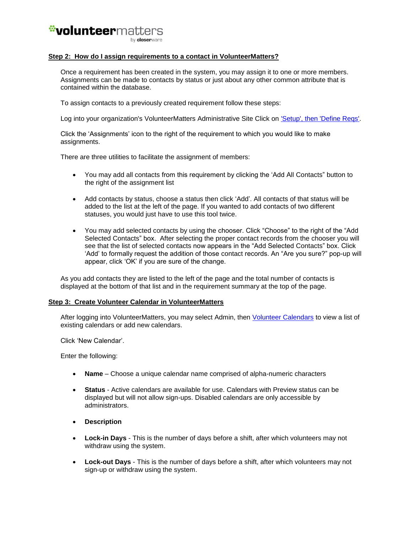### *\*volunteermatters* hy closerware

#### **Step 2: How do I assign requirements to a contact in VolunteerMatters?**

Once a requirement has been created in the system, you may assign it to one or more members. Assignments can be made to contacts by status or just about any other common attribute that is contained within the database.

To assign contacts to a previously created requirement follow these steps:

Log into your organization's VolunteerMatters Administrative Site Click on ['Setup', then 'Define Reqs'.](https://www.closerware.com/vm/member/RequirementList.do)

Click the 'Assignments' icon to the right of the requirement to which you would like to make assignments.

There are three utilities to facilitate the assignment of members:

- You may add all contacts from this requirement by clicking the 'Add All Contacts" button to the right of the assignment list
- Add contacts by status, choose a status then click 'Add'. All contacts of that status will be added to the list at the left of the page. If you wanted to add contacts of two different statuses, you would just have to use this tool twice.
- You may add selected contacts by using the chooser. Click "Choose" to the right of the "Add Selected Contacts" box. After selecting the proper contact records from the chooser you will see that the list of selected contacts now appears in the "Add Selected Contacts" box. Click 'Add' to formally request the addition of those contact records. An "Are you sure?" pop-up will appear, click 'OK' if you are sure of the change.

As you add contacts they are listed to the left of the page and the total number of contacts is displayed at the bottom of that list and in the requirement summary at the top of the page.

#### **Step 3: Create Volunteer Calendar in VolunteerMatters**

After logging into VolunteerMatters, you may select Admin, then [Volunteer Calendars](https://www.closerware.com/vm/member/shift/CalendarList.do) to view a list of existing calendars or add new calendars.

Click 'New Calendar'.

Enter the following:

- **Name**  Choose a unique calendar name comprised of alpha-numeric characters
- **Status** Active calendars are available for use. Calendars with Preview status can be displayed but will not allow sign-ups. Disabled calendars are only accessible by administrators.
- **Description**
- **Lock-in Days** This is the number of days before a shift, after which volunteers may not withdraw using the system.
- **Lock-out Days** This is the number of days before a shift, after which volunteers may not sign-up or withdraw using the system.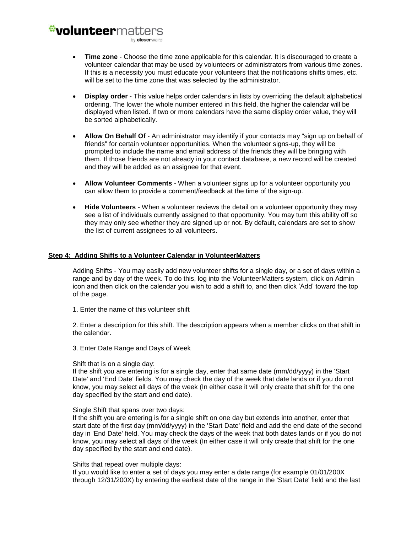hy closerware

- **Time zone** Choose the time zone applicable for this calendar. It is discouraged to create a volunteer calendar that may be used by volunteers or administrators from various time zones. If this is a necessity you must educate your volunteers that the notifications shifts times, etc. will be set to the time zone that was selected by the administrator.
- **Display order** This value helps order calendars in lists by overriding the default alphabetical ordering. The lower the whole number entered in this field, the higher the calendar will be displayed when listed. If two or more calendars have the same display order value, they will be sorted alphabetically.
- **Allow On Behalf Of**  An administrator may identify if your contacts may "sign up on behalf of friends" for certain volunteer opportunities. When the volunteer signs-up, they will be prompted to include the name and email address of the friends they will be bringing with them. If those friends are not already in your contact database, a new record will be created and they will be added as an assignee for that event.
- **Allow Volunteer Comments** When a volunteer signs up for a volunteer opportunity you can allow them to provide a comment/feedback at the time of the sign-up.
- **Hide Volunteers**  When a volunteer reviews the detail on a volunteer opportunity they may see a list of individuals currently assigned to that opportunity. You may turn this ability off so they may only see whether they are signed up or not. By default, calendars are set to show the list of current assignees to all volunteers.

#### **Step 4: Adding Shifts to a Volunteer Calendar in VolunteerMatters**

Adding Shifts - You may easily add new volunteer shifts for a single day, or a set of days within a range and by day of the week. To do this, log into the VolunteerMatters system, click on Admin icon and then click on the calendar you wish to add a shift to, and then click 'Add' toward the top of the page.

1. Enter the name of this volunteer shift

2. Enter a description for this shift. The description appears when a member clicks on that shift in the calendar.

3. Enter Date Range and Days of Week

#### Shift that is on a single day:

If the shift you are entering is for a single day, enter that same date (mm/dd/yyyy) in the 'Start Date' and 'End Date' fields. You may check the day of the week that date lands or if you do not know, you may select all days of the week (In either case it will only create that shift for the one day specified by the start and end date).

#### Single Shift that spans over two days:

If the shift you are entering is for a single shift on one day but extends into another, enter that start date of the first day (mm/dd/yyyy) in the 'Start Date' field and add the end date of the second day in 'End Date' field. You may check the days of the week that both dates lands or if you do not know, you may select all days of the week (In either case it will only create that shift for the one day specified by the start and end date).

#### Shifts that repeat over multiple days:

If you would like to enter a set of days you may enter a date range (for example 01/01/200X through 12/31/200X) by entering the earliest date of the range in the 'Start Date' field and the last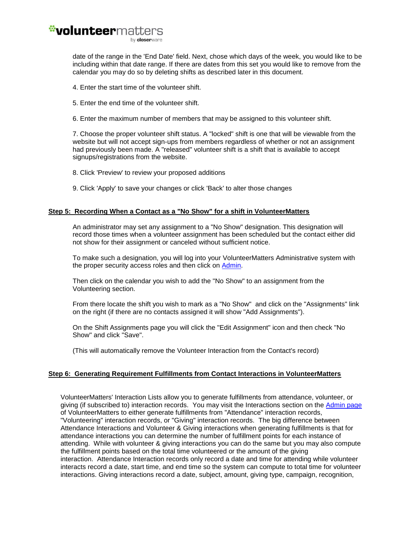date of the range in the 'End Date' field. Next, chose which days of the week, you would like to be including within that date range. If there are dates from this set you would like to remove from the calendar you may do so by deleting shifts as described later in this document.

- 4. Enter the start time of the volunteer shift.
- 5. Enter the end time of the volunteer shift.
- 6. Enter the maximum number of members that may be assigned to this volunteer shift.

7. Choose the proper volunteer shift status. A "locked" shift is one that will be viewable from the website but will not accept sign-ups from members regardless of whether or not an assignment had previously been made. A "released" volunteer shift is a shift that is available to accept signups/registrations from the website.

- 8. Click 'Preview' to review your proposed additions
- 9. Click 'Apply' to save your changes or click 'Back' to alter those changes

#### **Step 5: Recording When a Contact as a "No Show" for a shift in VolunteerMatters**

An administrator may set any assignment to a "No Show" designation. This designation will record those times when a volunteer assignment has been scheduled but the contact either did not show for their assignment or canceled without sufficient notice.

To make such a designation, you will log into your VolunteerMatters Administrative system with the proper security access roles and then click on [Admin.](https://www.closerware.com/vm/member/MenuAdmin.do)

Then click on the calendar you wish to add the "No Show" to an assignment from the Volunteering section.

From there locate the shift you wish to mark as a "No Show" and click on the "Assignments" link on the right (if there are no contacts assigned it will show "Add Assignments").

On the Shift Assignments page you will click the "Edit Assignment" icon and then check "No Show" and click "Save".

(This will automatically remove the Volunteer Interaction from the Contact's record)

### **Step 6: Generating Requirement Fulfillments from Contact Interactions in VolunteerMatters**

VolunteerMatters' Interaction Lists allow you to generate fulfillments from attendance, volunteer, or giving (if subscribed to) interaction records. You may visit the Interactions section on the [Admin page](https://www.closerware.com/vm/member/MenuAdmin.do) of VolunteerMatters to either generate fulfillments from "Attendance" interaction records, "Volunteering" interaction records, or "Giving" interaction records. The big difference between Attendance Interactions and Volunteer & Giving interactions when generating fulfillments is that for attendance interactions you can determine the number of fulfillment points for each instance of attending. While with volunteer & giving interactions you can do the same but you may also compute the fulfillment points based on the total time volunteered or the amount of the giving interaction. Attendance Interaction records only record a date and time for attending while volunteer interacts record a date, start time, and end time so the system can compute to total time for volunteer interactions. Giving interactions record a date, subject, amount, giving type, campaign, recognition,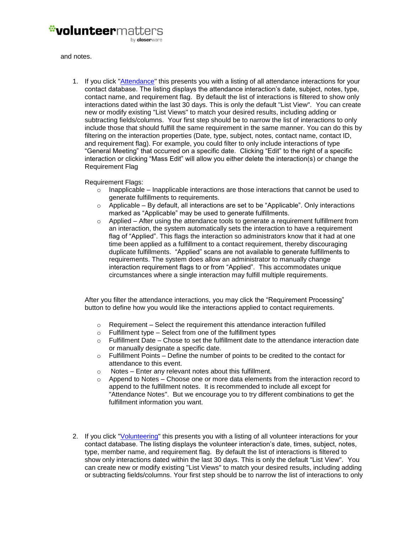

and notes.

1. If you click ["Attendance"](https://www.closerware.com/vm/member/MemberAttendanceList.do) this presents you with a listing of all attendance interactions for your contact database. The listing displays the attendance interaction's date, subject, notes, type, contact name, and requirement flag. By default the list of interactions is filtered to show only interactions dated within the last 30 days. This is only the default "List View". You can create new or modify existing "List Views" to match your desired results, including adding or subtracting fields/columns. Your first step should be to narrow the list of interactions to only include those that should fulfill the same requirement in the same manner. You can do this by filtering on the interaction properties (Date, type, subject, notes, contact name, contact ID, and requirement flag). For example, you could filter to only include interactions of type "General Meeting" that occurred on a specific date. Clicking "Edit" to the right of a specific interaction or clicking "Mass Edit" will allow you either delete the interaction(s) or change the Requirement Flag

#### Requirement Flags:

- $\circ$  Inapplicable Inapplicable interactions are those interactions that cannot be used to generate fulfillments to requirements.
- $\circ$  Applicable By default, all interactions are set to be "Applicable". Only interactions marked as "Applicable" may be used to generate fulfillments.
- o Applied After using the attendance tools to generate a requirement fulfillment from an interaction, the system automatically sets the interaction to have a requirement flag of "Applied". This flags the interaction so administrators know that it had at one time been applied as a fulfillment to a contact requirement, thereby discouraging duplicate fulfillments. "Applied" scans are not available to generate fulfillments to requirements. The system does allow an administrator to manually change interaction requirement flags to or from "Applied". This accommodates unique circumstances where a single interaction may fulfill multiple requirements.

After you filter the attendance interactions, you may click the "Requirement Processing" button to define how you would like the interactions applied to contact requirements.

- o Requirement Select the requirement this attendance interaction fulfilled
- $\circ$  Fulfillment type Select from one of the fulfillment types
- $\circ$  Fulfillment Date Chose to set the fulfillment date to the attendance interaction date or manually designate a specific date.
- $\circ$  Fulfillment Points Define the number of points to be credited to the contact for attendance to this event.
- o Notes Enter any relevant notes about this fulfillment.
- $\circ$  Append to Notes Choose one or more data elements from the interaction record to append to the fulfillment notes. It is recommended to include all except for "Attendance Notes". But we encourage you to try different combinations to get the fulfillment information you want.
- 2. If you click ["Volunteering"](https://www.closerware.com/vm/member/MemberVolunteerList.do) this presents you with a listing of all volunteer interactions for your contact database. The listing displays the volunteer interaction's date, times, subject, notes, type, member name, and requirement flag. By default the list of interactions is filtered to show only interactions dated within the last 30 days. This is only the default "List View". You can create new or modify existing "List Views" to match your desired results, including adding or subtracting fields/columns. Your first step should be to narrow the list of interactions to only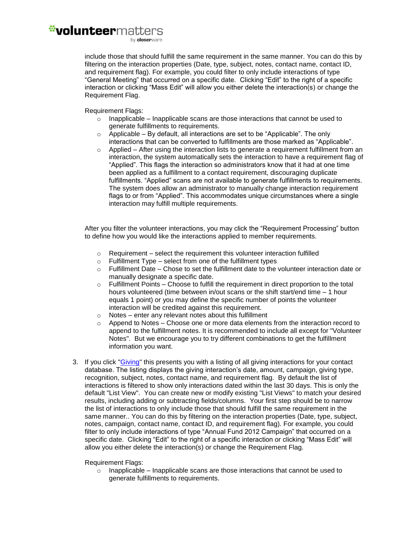by closerware

include those that should fulfill the same requirement in the same manner. You can do this by filtering on the interaction properties (Date, type, subject, notes, contact name, contact ID, and requirement flag). For example, you could filter to only include interactions of type "General Meeting" that occurred on a specific date. Clicking "Edit" to the right of a specific interaction or clicking "Mass Edit" will allow you either delete the interaction(s) or change the Requirement Flag.

Requirement Flags:

- $\circ$  Inapplicable Inapplicable scans are those interactions that cannot be used to generate fulfillments to requirements.
- $\circ$  Applicable By default, all interactions are set to be "Applicable". The only interactions that can be converted to fulfillments are those marked as "Applicable".
- $\circ$  Applied After using the interaction lists to generate a requirement fulfillment from an interaction, the system automatically sets the interaction to have a requirement flag of "Applied". This flags the interaction so administrators know that it had at one time been applied as a fulfillment to a contact requirement, discouraging duplicate fulfillments. "Applied" scans are not available to generate fulfillments to requirements. The system does allow an administrator to manually change interaction requirement flags to or from "Applied". This accommodates unique circumstances where a single interaction may fulfill multiple requirements.

After you filter the volunteer interactions, you may click the "Requirement Processing" button to define how you would like the interactions applied to member requirements.

- $\circ$  Requirement select the requirement this volunteer interaction fulfilled
- $\circ$  Fulfillment Type select from one of the fulfillment types
- $\circ$  Fulfillment Date Chose to set the fulfillment date to the volunteer interaction date or manually designate a specific date.
- $\circ$  Fulfillment Points Choose to fulfill the requirement in direct proportion to the total hours volunteered (time between in/out scans or the shift start/end time – 1 hour equals 1 point) or you may define the specific number of points the volunteer interaction will be credited against this requirement.
- $\circ$  Notes enter any relevant notes about this fulfillment
- $\circ$  Append to Notes Choose one or more data elements from the interaction record to append to the fulfillment notes. It is recommended to include all except for "Volunteer Notes". But we encourage you to try different combinations to get the fulfillment information you want.
- 3. If you click ["Giving"](https://www.closerware.com/vm/member/MemberGivingList.do) this presents you with a listing of all giving interactions for your contact database. The listing displays the giving interaction's date, amount, campaign, giving type, recognition, subject, notes, contact name, and requirement flag. By default the list of interactions is filtered to show only interactions dated within the last 30 days. This is only the default "List View". You can create new or modify existing "List Views" to match your desired results, including adding or subtracting fields/columns. Your first step should be to narrow the list of interactions to only include those that should fulfill the same requirement in the same manner.. You can do this by filtering on the interaction properties (Date, type, subject, notes, campaign, contact name, contact ID, and requirement flag). For example, you could filter to only include interactions of type "Annual Fund 2012 Campaign" that occurred on a specific date. Clicking "Edit" to the right of a specific interaction or clicking "Mass Edit" will allow you either delete the interaction(s) or change the Requirement Flag.

Requirement Flags:

 $\circ$  Inapplicable – Inapplicable scans are those interactions that cannot be used to generate fulfillments to requirements.